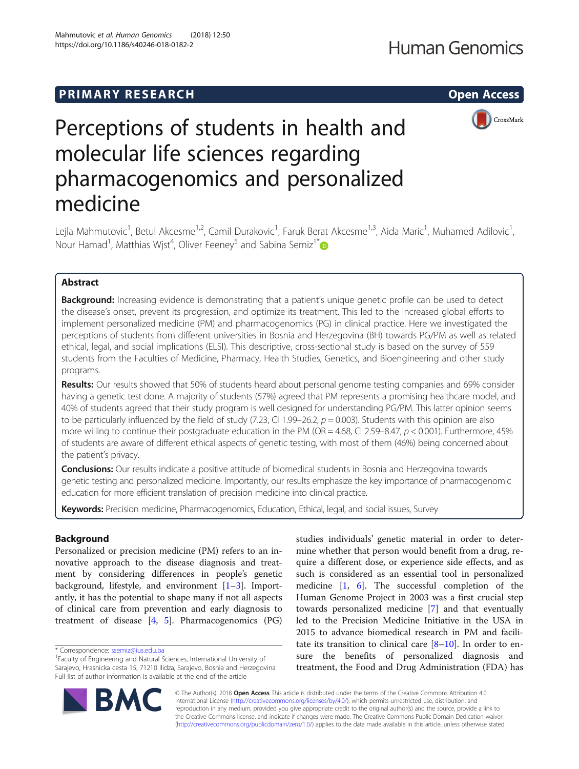## **PRIMARY RESEARCH CONFIDENTIAL COMPANY RESEARCH CONFIDENTIAL COMPANY**



# Perceptions of students in health and molecular life sciences regarding pharmacogenomics and personalized medicine

Lejla Mahmutovic<sup>1</sup>, Betul Akcesme<sup>1,2</sup>, Camil Durakovic<sup>1</sup>, Faruk Berat Akcesme<sup>1,3</sup>, Aida Maric<sup>1</sup>, Muhamed Adilovic<sup>1</sup> , Nour Hamad<sup>1</sup>, Matthias Wjst<sup>4</sup>, Oliver Feeney<sup>5</sup> and Sabina Semiz<sup>1\*</sup>

## Abstract

Background: Increasing evidence is demonstrating that a patient's unique genetic profile can be used to detect the disease's onset, prevent its progression, and optimize its treatment. This led to the increased global efforts to implement personalized medicine (PM) and pharmacogenomics (PG) in clinical practice. Here we investigated the perceptions of students from different universities in Bosnia and Herzegovina (BH) towards PG/PM as well as related ethical, legal, and social implications (ELSI). This descriptive, cross-sectional study is based on the survey of 559 students from the Faculties of Medicine, Pharmacy, Health Studies, Genetics, and Bioengineering and other study programs.

Results: Our results showed that 50% of students heard about personal genome testing companies and 69% consider having a genetic test done. A majority of students (57%) agreed that PM represents a promising healthcare model, and 40% of students agreed that their study program is well designed for understanding PG/PM. This latter opinion seems to be particularly influenced by the field of study (7.23, CI 1.99–26.2,  $p = 0.003$ ). Students with this opinion are also more willing to continue their postgraduate education in the PM (OR = 4.68, CI 2.59–8.47,  $p < 0.001$ ). Furthermore, 45% of students are aware of different ethical aspects of genetic testing, with most of them (46%) being concerned about the patient's privacy.

Conclusions: Our results indicate a positive attitude of biomedical students in Bosnia and Herzegovina towards genetic testing and personalized medicine. Importantly, our results emphasize the key importance of pharmacogenomic education for more efficient translation of precision medicine into clinical practice.

Keywords: Precision medicine, Pharmacogenomics, Education, Ethical, legal, and social issues, Survey

## Background

Personalized or precision medicine (PM) refers to an innovative approach to the disease diagnosis and treatment by considering differences in people's genetic background, lifestyle, and environment  $[1-3]$  $[1-3]$  $[1-3]$ . Importantly, it has the potential to shape many if not all aspects of clinical care from prevention and early diagnosis to treatment of disease [[4](#page-13-0), [5\]](#page-13-0). Pharmacogenomics (PG) studies individuals' genetic material in order to determine whether that person would benefit from a drug, require a different dose, or experience side effects, and as such is considered as an essential tool in personalized medicine  $[1, 6]$  $[1, 6]$  $[1, 6]$  $[1, 6]$ . The successful completion of the Human Genome Project in 2003 was a first crucial step towards personalized medicine [\[7](#page-13-0)] and that eventually led to the Precision Medicine Initiative in the USA in 2015 to advance biomedical research in PM and facilitate its transition to clinical care  $[8-10]$  $[8-10]$  $[8-10]$  $[8-10]$ . In order to ensure the benefits of personalized diagnosis and treatment, the Food and Drug Administration (FDA) has



© The Author(s). 2018 Open Access This article is distributed under the terms of the Creative Commons Attribution 4.0 International License [\(http://creativecommons.org/licenses/by/4.0/](http://creativecommons.org/licenses/by/4.0/)), which permits unrestricted use, distribution, and reproduction in any medium, provided you give appropriate credit to the original author(s) and the source, provide a link to the Creative Commons license, and indicate if changes were made. The Creative Commons Public Domain Dedication waiver [\(http://creativecommons.org/publicdomain/zero/1.0/](http://creativecommons.org/publicdomain/zero/1.0/)) applies to the data made available in this article, unless otherwise stated.

<sup>\*</sup> Correspondence: [ssemiz@ius.edu.ba](mailto:ssemiz@ius.edu.ba) <sup>1</sup>

Faculty of Engineering and Natural Sciences, International University of Sarajevo, Hrasnicka cesta 15, 71210 Ilidza, Sarajevo, Bosnia and Herzegovina Full list of author information is available at the end of the article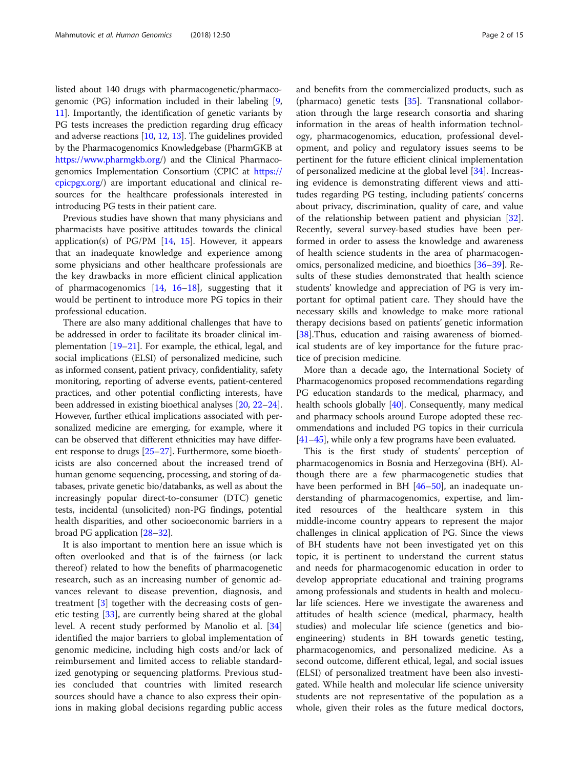listed about 140 drugs with pharmacogenetic/pharmacogenomic (PG) information included in their labeling [[9](#page-13-0), [11](#page-13-0)]. Importantly, the identification of genetic variants by PG tests increases the prediction regarding drug efficacy and adverse reactions [\[10,](#page-13-0) [12](#page-13-0), [13](#page-13-0)]. The guidelines provided by the Pharmacogenomics Knowledgebase (PharmGKB at <https://www.pharmgkb.org>/) and the Clinical Pharmacogenomics Implementation Consortium (CPIC at [https://](https://cpicpgx.org) [cpicpgx.org/](https://cpicpgx.org)) are important educational and clinical resources for the healthcare professionals interested in introducing PG tests in their patient care.

Previous studies have shown that many physicians and pharmacists have positive attitudes towards the clinical application(s) of PG/PM  $[14, 15]$  $[14, 15]$  $[14, 15]$  $[14, 15]$  $[14, 15]$ . However, it appears that an inadequate knowledge and experience among some physicians and other healthcare professionals are the key drawbacks in more efficient clinical application of pharmacogenomics [\[14,](#page-13-0) [16](#page-13-0)–[18\]](#page-13-0), suggesting that it would be pertinent to introduce more PG topics in their professional education.

There are also many additional challenges that have to be addressed in order to facilitate its broader clinical implementation [[19](#page-13-0)–[21](#page-13-0)]. For example, the ethical, legal, and social implications (ELSI) of personalized medicine, such as informed consent, patient privacy, confidentiality, safety monitoring, reporting of adverse events, patient-centered practices, and other potential conflicting interests, have been addressed in existing bioethical analyses [[20](#page-13-0), [22](#page-13-0)–[24](#page-13-0)]. However, further ethical implications associated with personalized medicine are emerging, for example, where it can be observed that different ethnicities may have different response to drugs [\[25](#page-13-0)–[27](#page-13-0)]. Furthermore, some bioethicists are also concerned about the increased trend of human genome sequencing, processing, and storing of databases, private genetic bio/databanks, as well as about the increasingly popular direct-to-consumer (DTC) genetic tests, incidental (unsolicited) non-PG findings, potential health disparities, and other socioeconomic barriers in a broad PG application [\[28](#page-13-0)–[32\]](#page-13-0).

It is also important to mention here an issue which is often overlooked and that is of the fairness (or lack thereof) related to how the benefits of pharmacogenetic research, such as an increasing number of genomic advances relevant to disease prevention, diagnosis, and treatment [\[3](#page-13-0)] together with the decreasing costs of genetic testing [\[33](#page-13-0)], are currently being shared at the global level. A recent study performed by Manolio et al. [[34](#page-13-0)] identified the major barriers to global implementation of genomic medicine, including high costs and/or lack of reimbursement and limited access to reliable standardized genotyping or sequencing platforms. Previous studies concluded that countries with limited research sources should have a chance to also express their opinions in making global decisions regarding public access and benefits from the commercialized products, such as (pharmaco) genetic tests [\[35\]](#page-13-0). Transnational collaboration through the large research consortia and sharing information in the areas of health information technology, pharmacogenomics, education, professional development, and policy and regulatory issues seems to be pertinent for the future efficient clinical implementation of personalized medicine at the global level [\[34](#page-13-0)]. Increasing evidence is demonstrating different views and attitudes regarding PG testing, including patients' concerns about privacy, discrimination, quality of care, and value of the relationship between patient and physician [\[32](#page-13-0)]. Recently, several survey-based studies have been performed in order to assess the knowledge and awareness of health science students in the area of pharmacogenomics, personalized medicine, and bioethics [[36](#page-13-0)–[39](#page-13-0)]. Results of these studies demonstrated that health science students' knowledge and appreciation of PG is very important for optimal patient care. They should have the necessary skills and knowledge to make more rational therapy decisions based on patients' genetic information [[38\]](#page-13-0).Thus, education and raising awareness of biomedical students are of key importance for the future practice of precision medicine.

More than a decade ago, the International Society of Pharmacogenomics proposed recommendations regarding PG education standards to the medical, pharmacy, and health schools globally [\[40\]](#page-13-0). Consequently, many medical and pharmacy schools around Europe adopted these recommendations and included PG topics in their curricula [[41](#page-13-0)–[45\]](#page-13-0), while only a few programs have been evaluated.

This is the first study of students' perception of pharmacogenomics in Bosnia and Herzegovina (BH). Although there are a few pharmacogenetic studies that have been performed in BH [\[46](#page-13-0)–[50\]](#page-13-0), an inadequate understanding of pharmacogenomics, expertise, and limited resources of the healthcare system in this middle-income country appears to represent the major challenges in clinical application of PG. Since the views of BH students have not been investigated yet on this topic, it is pertinent to understand the current status and needs for pharmacogenomic education in order to develop appropriate educational and training programs among professionals and students in health and molecular life sciences. Here we investigate the awareness and attitudes of health science (medical, pharmacy, health studies) and molecular life science (genetics and bioengineering) students in BH towards genetic testing, pharmacogenomics, and personalized medicine. As a second outcome, different ethical, legal, and social issues (ELSI) of personalized treatment have been also investigated. While health and molecular life science university students are not representative of the population as a whole, given their roles as the future medical doctors,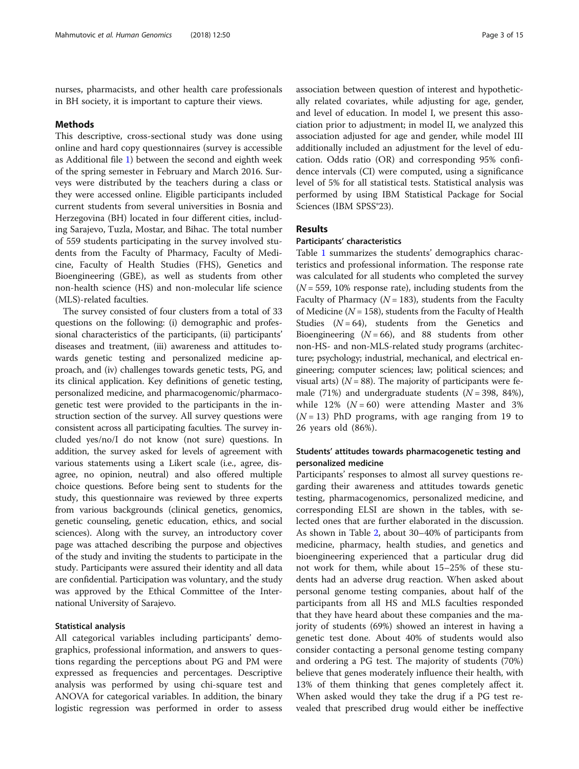nurses, pharmacists, and other health care professionals in BH society, it is important to capture their views.

#### Methods

This descriptive, cross-sectional study was done using online and hard copy questionnaires (survey is accessible as Additional file [1](#page-12-0)) between the second and eighth week of the spring semester in February and March 2016. Surveys were distributed by the teachers during a class or they were accessed online. Eligible participants included current students from several universities in Bosnia and Herzegovina (BH) located in four different cities, including Sarajevo, Tuzla, Mostar, and Bihac. The total number of 559 students participating in the survey involved students from the Faculty of Pharmacy, Faculty of Medicine, Faculty of Health Studies (FHS), Genetics and Bioengineering (GBE), as well as students from other non-health science (HS) and non-molecular life science (MLS)-related faculties.

The survey consisted of four clusters from a total of 33 questions on the following: (i) demographic and professional characteristics of the participants, (ii) participants' diseases and treatment, (iii) awareness and attitudes towards genetic testing and personalized medicine approach, and (iv) challenges towards genetic tests, PG, and its clinical application. Key definitions of genetic testing, personalized medicine, and pharmacogenomic/pharmacogenetic test were provided to the participants in the instruction section of the survey. All survey questions were consistent across all participating faculties. The survey included yes/no/I do not know (not sure) questions. In addition, the survey asked for levels of agreement with various statements using a Likert scale (i.e., agree, disagree, no opinion, neutral) and also offered multiple choice questions. Before being sent to students for the study, this questionnaire was reviewed by three experts from various backgrounds (clinical genetics, genomics, genetic counseling, genetic education, ethics, and social sciences). Along with the survey, an introductory cover page was attached describing the purpose and objectives of the study and inviting the students to participate in the study. Participants were assured their identity and all data are confidential. Participation was voluntary, and the study was approved by the Ethical Committee of the International University of Sarajevo.

#### Statistical analysis

All categorical variables including participants' demographics, professional information, and answers to questions regarding the perceptions about PG and PM were expressed as frequencies and percentages. Descriptive analysis was performed by using chi-square test and ANOVA for categorical variables. In addition, the binary logistic regression was performed in order to assess association between question of interest and hypothetically related covariates, while adjusting for age, gender, and level of education. In model I, we present this association prior to adjustment; in model II, we analyzed this association adjusted for age and gender, while model III additionally included an adjustment for the level of education. Odds ratio (OR) and corresponding 95% confidence intervals (CI) were computed, using a significance level of 5% for all statistical tests. Statistical analysis was performed by using IBM Statistical Package for Social Sciences (IBM SPSS®23).

### Results

#### Participants' characteristics

Table [1](#page-3-0) summarizes the students' demographics characteristics and professional information. The response rate was calculated for all students who completed the survey  $(N = 559, 10\%$  response rate), including students from the Faculty of Pharmacy ( $N = 183$ ), students from the Faculty of Medicine ( $N = 158$ ), students from the Faculty of Health Studies  $(N = 64)$ , students from the Genetics and Bioengineering  $(N = 66)$ , and 88 students from other non-HS- and non-MLS-related study programs (architecture; psychology; industrial, mechanical, and electrical engineering; computer sciences; law; political sciences; and visual arts) ( $N = 88$ ). The majority of participants were female (71%) and undergraduate students ( $N = 398, 84\%$ ), while 12%  $(N = 60)$  were attending Master and 3%  $(N = 13)$  PhD programs, with age ranging from 19 to 26 years old (86%).

## Students' attitudes towards pharmacogenetic testing and personalized medicine

Participants' responses to almost all survey questions regarding their awareness and attitudes towards genetic testing, pharmacogenomics, personalized medicine, and corresponding ELSI are shown in the tables, with selected ones that are further elaborated in the discussion. As shown in Table [2](#page-4-0), about 30–40% of participants from medicine, pharmacy, health studies, and genetics and bioengineering experienced that a particular drug did not work for them, while about 15–25% of these students had an adverse drug reaction. When asked about personal genome testing companies, about half of the participants from all HS and MLS faculties responded that they have heard about these companies and the majority of students (69%) showed an interest in having a genetic test done. About 40% of students would also consider contacting a personal genome testing company and ordering a PG test. The majority of students (70%) believe that genes moderately influence their health, with 13% of them thinking that genes completely affect it. When asked would they take the drug if a PG test revealed that prescribed drug would either be ineffective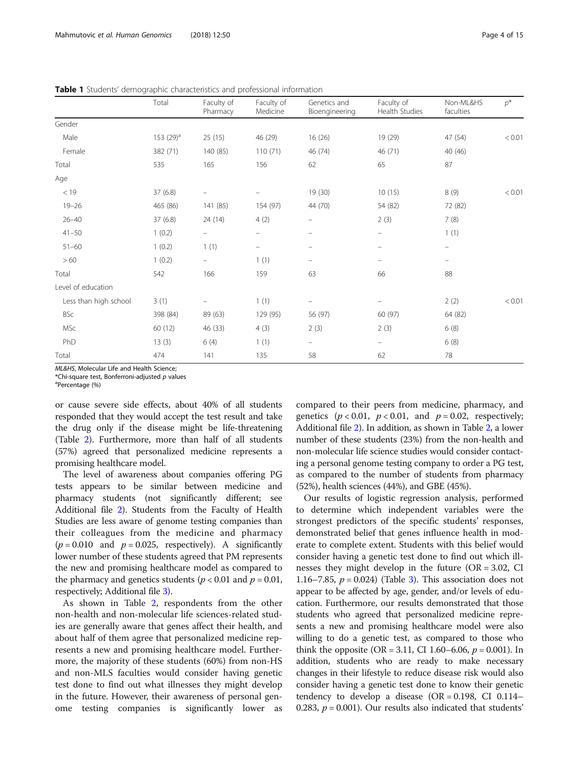|                       | Total        | Faculty of<br>Pharmacy   | Faculty of<br>Medicine   | Genetics and<br>Bioengineering | Faculty of<br>Health Studies | Non-ML&HS<br>faculties   | $p^*$  |
|-----------------------|--------------|--------------------------|--------------------------|--------------------------------|------------------------------|--------------------------|--------|
| Gender                |              |                          |                          |                                |                              |                          |        |
| Male                  | $153 (29)^a$ | 25(15)                   | 46 (29)                  | 16(26)                         | 19 (29)                      | 47 (54)                  | < 0.01 |
| Female                | 382 (71)     | 140 (85)                 | 110(71)                  | 46 (74)                        | 46 (71)                      | 40 (46)                  |        |
| Total                 | 535          | 165                      | 156                      | 62                             | 65                           | 87                       |        |
| Age                   |              |                          |                          |                                |                              |                          |        |
| < 19                  | 37(6.8)      |                          |                          | 19 (30)                        | 10(15)                       | 8(9)                     | < 0.01 |
| $19 - 26$             | 465 (86)     | 141 (85)                 | 154 (97)                 | 44 (70)                        | 54 (82)                      | 72 (82)                  |        |
| $26 - 40$             | 37(6.8)      | 24 (14)                  | 4(2)                     | $\qquad \qquad =$              | 2(3)                         | 7(8)                     |        |
| $41 - 50$             | 1(0.2)       | $\overline{\phantom{0}}$ | $\overline{\phantom{0}}$ | $\overline{\phantom{0}}$       | $\qquad \qquad -$            | 1(1)                     |        |
| $51 - 60$             | 1(0.2)       | 1(1)                     | -                        | $\overline{\phantom{m}}$       | $\overline{\phantom{m}}$     | $\overline{\phantom{m}}$ |        |
| >60                   | 1(0.2)       | $\qquad \qquad -$        | 1(1)                     |                                |                              | -                        |        |
| Total                 | 542          | 166                      | 159                      | 63                             | 66                           | 88                       |        |
| Level of education    |              |                          |                          |                                |                              |                          |        |
| Less than high school | 3(1)         |                          | 1(1)                     |                                |                              | 2(2)                     | < 0.01 |
| <b>BSc</b>            | 398 (84)     | 89 (63)                  | 129 (95)                 | 56 (97)                        | 60 (97)                      | 64 (82)                  |        |
| MSc                   | 60 (12)      | 46 (33)                  | 4(3)                     | 2(3)                           | 2(3)                         | 6(8)                     |        |
| PhD                   | 13(3)        | 6(4)                     | 1(1)                     | $\qquad \qquad \longleftarrow$ | $\qquad \qquad -$            | 6(8)                     |        |
| Total                 | 474          | 141                      | 135                      | 58                             | 62                           | 78                       |        |

<span id="page-3-0"></span>Table 1 Students' demographic characteristics and professional information

ML&HS, Molecular Life and Health Science;

\*Chi-square test, Bonferroni-adjusted  $p$  values

Percentage (%)

or cause severe side effects, about 40% of all students responded that they would accept the test result and take the drug only if the disease might be life-threatening (Table [2\)](#page-4-0). Furthermore, more than half of all students (57%) agreed that personalized medicine represents a promising healthcare model.

The level of awareness about companies offering PG tests appears to be similar between medicine and pharmacy students (not significantly different; see Additional file [2\)](#page-12-0). Students from the Faculty of Health Studies are less aware of genome testing companies than their colleagues from the medicine and pharmacy  $(p = 0.010$  and  $p = 0.025$ , respectively). A significantly lower number of these students agreed that PM represents the new and promising healthcare model as compared to the pharmacy and genetics students ( $p < 0.01$  and  $p = 0.01$ , respectively; Additional file [3](#page-12-0)).

As shown in Table [2,](#page-4-0) respondents from the other non-health and non-molecular life sciences-related studies are generally aware that genes affect their health, and about half of them agree that personalized medicine represents a new and promising healthcare model. Furthermore, the majority of these students (60%) from non-HS and non-MLS faculties would consider having genetic test done to find out what illnesses they might develop in the future. However, their awareness of personal genome testing companies is significantly lower as

compared to their peers from medicine, pharmacy, and genetics  $(p < 0.01, p < 0.01,$  and  $p = 0.02$ , respectively; Additional file [2](#page-12-0)). In addition, as shown in Table [2,](#page-4-0) a lower number of these students (23%) from the non-health and non-molecular life science studies would consider contacting a personal genome testing company to order a PG test, as compared to the number of students from pharmacy (52%), health sciences (44%), and GBE (45%).

Our results of logistic regression analysis, performed to determine which independent variables were the strongest predictors of the specific students' responses, demonstrated belief that genes influence health in moderate to complete extent. Students with this belief would consider having a genetic test done to find out which illnesses they might develop in the future (OR = 3.02, CI 1.16–7.85,  $p = 0.024$ ) (Table [3](#page-5-0)). This association does not appear to be affected by age, gender, and/or levels of education. Furthermore, our results demonstrated that those students who agreed that personalized medicine represents a new and promising healthcare model were also willing to do a genetic test, as compared to those who think the opposite (OR = 3.11, CI 1.60–6.06,  $p = 0.001$ ). In addition, students who are ready to make necessary changes in their lifestyle to reduce disease risk would also consider having a genetic test done to know their genetic tendency to develop a disease  $(OR = 0.198, CI 0.114-$ 0.283,  $p = 0.001$ ). Our results also indicated that students'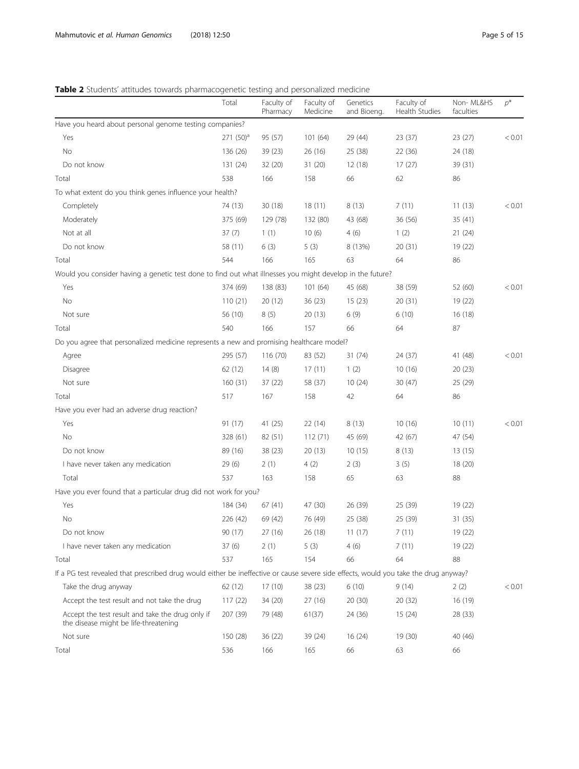## <span id="page-4-0"></span>Table 2 Students' attitudes towards pharmacogenetic testing and personalized medicine

|                                                                                                                                      | Total       | Faculty of<br>Pharmacy | Faculty of<br>Medicine | Genetics<br>and Bioeng. | Faculty of<br>Health Studies | Non-ML&HS<br>faculties | $p^*$  |
|--------------------------------------------------------------------------------------------------------------------------------------|-------------|------------------------|------------------------|-------------------------|------------------------------|------------------------|--------|
| Have you heard about personal genome testing companies?                                                                              |             |                        |                        |                         |                              |                        |        |
| Yes                                                                                                                                  | $271(50)^a$ | 95 (57)                | 101(64)                | 29 (44)                 | 23 (37)                      | 23(27)                 | < 0.01 |
| No                                                                                                                                   | 136 (26)    | 39(23)                 | 26 (16)                | 25 (38)                 | 22 (36)                      | 24 (18)                |        |
| Do not know                                                                                                                          | 131 (24)    | 32 (20)                | 31 (20)                | 12(18)                  | 17(27)                       | 39 (31)                |        |
| Total                                                                                                                                | 538         | 166                    | 158                    | 66                      | 62                           | 86                     |        |
| To what extent do you think genes influence your health?                                                                             |             |                        |                        |                         |                              |                        |        |
| Completely                                                                                                                           | 74 (13)     | 30(18)                 | 18(11)                 | 8(13)                   | 7(11)                        | 11(13)                 | < 0.01 |
| Moderately                                                                                                                           | 375 (69)    | 129 (78)               | 132 (80)               | 43 (68)                 | 36 (56)                      | 35(41)                 |        |
| Not at all                                                                                                                           | 37(7)       | 1(1)                   | 10(6)                  | 4(6)                    | 1(2)                         | 21(24)                 |        |
| Do not know                                                                                                                          | 58 (11)     | 6(3)                   | 5(3)                   | 8 (13%)                 | 20(31)                       | 19(22)                 |        |
| Total                                                                                                                                | 544         | 166                    | 165                    | 63                      | 64                           | 86                     |        |
| Would you consider having a genetic test done to find out what illnesses you might develop in the future?                            |             |                        |                        |                         |                              |                        |        |
| Yes                                                                                                                                  | 374 (69)    | 138 (83)               | 101(64)                | 45 (68)                 | 38 (59)                      | 52 (60)                | < 0.01 |
| No                                                                                                                                   | 110(21)     | 20(12)                 | 36(23)                 | 15(23)                  | 20(31)                       | 19 (22)                |        |
| Not sure                                                                                                                             | 56 (10)     | 8(5)                   | 20 (13)                | 6(9)                    | 6(10)                        | 16(18)                 |        |
| Total                                                                                                                                | 540         | 166                    | 157                    | 66                      | 64                           | 87                     |        |
| Do you agree that personalized medicine represents a new and promising healthcare model?                                             |             |                        |                        |                         |                              |                        |        |
| Agree                                                                                                                                | 295 (57)    | 116 (70)               | 83 (52)                | 31 (74)                 | 24 (37)                      | 41 (48)                | < 0.01 |
| Disagree                                                                                                                             | 62 (12)     | 14(8)                  | 17(11)                 | 1(2)                    | 10(16)                       | 20(23)                 |        |
| Not sure                                                                                                                             | 160(31)     | 37 (22)                | 58 (37)                | 10(24)                  | 30(47)                       | 25 (29)                |        |
| Total                                                                                                                                | 517         | 167                    | 158                    | 42                      | 64                           | 86                     |        |
| Have you ever had an adverse drug reaction?                                                                                          |             |                        |                        |                         |                              |                        |        |
| Yes                                                                                                                                  | 91 (17)     | 41 (25)                | 22(14)                 | 8(13)                   | 10(16)                       | 10(11)                 | < 0.01 |
| <b>No</b>                                                                                                                            | 328 (61)    | 82 (51)                | 112(71)                | 45 (69)                 | 42 (67)                      | 47 (54)                |        |
| Do not know                                                                                                                          | 89 (16)     | 38(23)                 | 20(13)                 | 10(15)                  | 8(13)                        | 13(15)                 |        |
| I have never taken any medication                                                                                                    | 29(6)       | 2(1)                   | 4(2)                   | 2(3)                    | 3(5)                         | 18 (20)                |        |
| Total                                                                                                                                | 537         | 163                    | 158                    | 65                      | 63                           | 88                     |        |
| Have you ever found that a particular drug did not work for you?                                                                     |             |                        |                        |                         |                              |                        |        |
| Yes                                                                                                                                  | 184 (34)    | 67(41)                 | 47 (30)                | 26 (39)                 | 25 (39)                      | 19 (22)                |        |
| No                                                                                                                                   | 226 (42)    | 69 (42)                | 76 (49)                | 25 (38)                 | 25 (39)                      | 31(35)                 |        |
| Do not know                                                                                                                          | 90 (17)     | 27 (16)                | 26 (18)                | 11(17)                  | 7(11)                        | 19 (22)                |        |
| I have never taken any medication                                                                                                    | 37 (6)      | 2(1)                   | 5(3)                   | 4(6)                    | 7(11)                        | 19 (22)                |        |
| Total                                                                                                                                | 537         | 165                    | 154                    | 66                      | 64                           | 88                     |        |
| If a PG test revealed that prescribed drug would either be ineffective or cause severe side effects, would you take the drug anyway? |             |                        |                        |                         |                              |                        |        |
| Take the drug anyway                                                                                                                 | 62 (12)     | 17(10)                 | 38 (23)                | 6(10)                   | 9(14)                        | 2(2)                   | < 0.01 |
| Accept the test result and not take the drug                                                                                         | 117(22)     | 34 (20)                | 27 (16)                | 20 (30)                 | 20 (32)                      | 16 (19)                |        |
| Accept the test result and take the drug only if<br>the disease might be life-threatening                                            | 207 (39)    | 79 (48)                | 61(37)                 | 24 (36)                 | 15(24)                       | 28 (33)                |        |
| Not sure                                                                                                                             | 150 (28)    | 36 (22)                | 39 (24)                | 16(24)                  | 19 (30)                      | 40 (46)                |        |
| Total                                                                                                                                | 536         | 166                    | 165                    | 66                      | 63                           | 66                     |        |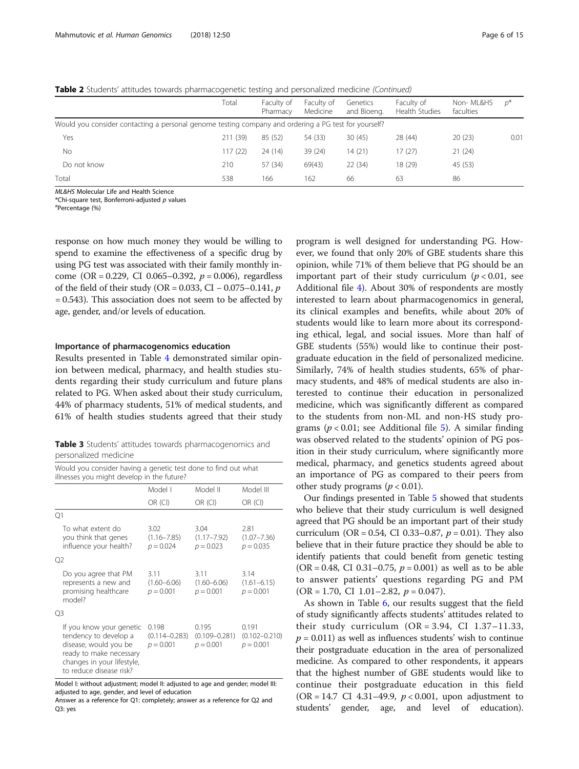<span id="page-5-0"></span>**Table 2** Students' attitudes towards pharmacogenetic testing and personalized medicine (Continued)

|                                                                                                      | Total       | Faculty of<br>Pharmacy | Faculty of<br>Medicine | Genetics<br>and Bioeng. | Faculty of<br>Health Studies | Non-ML&HS<br>faculties | $p^*$ |
|------------------------------------------------------------------------------------------------------|-------------|------------------------|------------------------|-------------------------|------------------------------|------------------------|-------|
| Would you consider contacting a personal genome testing company and ordering a PG test for yourself? |             |                        |                        |                         |                              |                        |       |
| Yes                                                                                                  | (39)<br>211 | 85 (52)                | 54 (33)                | 30(45)                  | 28 (44)                      | 20(23)                 | 0.01  |
| No                                                                                                   | 117(22)     | 24 (14)                | 39 (24)                | 14(21)                  | 17 (27)                      | 21(24)                 |       |
| Do not know                                                                                          | 210         | 57 (34)                | 69(43)                 | 22(34)                  | 18 (29)                      | 45 (53)                |       |
| Total                                                                                                | 538         | 166                    | 162                    | 66                      | 63                           | 86                     |       |

ML&HS Molecular Life and Health Science

\*Chi-square test, Bonferroni-adjusted <sup>p</sup> values <sup>a</sup>

Percentage (%)

response on how much money they would be willing to spend to examine the effectiveness of a specific drug by using PG test was associated with their family monthly income (OR = 0.229, CI 0.065–0.392,  $p = 0.006$ ), regardless of the field of their study (OR = 0.033, CI − 0.075–0.141,  $p$  $= 0.543$ ). This association does not seem to be affected by age, gender, and/or levels of education.

#### Importance of pharmacogenomics education

Results presented in Table [4](#page-6-0) demonstrated similar opinion between medical, pharmacy, and health studies students regarding their study curriculum and future plans related to PG. When asked about their study curriculum, 44% of pharmacy students, 51% of medical students, and 61% of health studies students agreed that their study

|                       |  | <b>Table 3</b> Students' attitudes towards pharmacogenomics and |  |
|-----------------------|--|-----------------------------------------------------------------|--|
| personalized medicine |  |                                                                 |  |

| Would you consider having a genetic test done to find out what<br>illnesses you might develop in the future?                                                   |                                           |                                           |                                           |  |  |  |
|----------------------------------------------------------------------------------------------------------------------------------------------------------------|-------------------------------------------|-------------------------------------------|-------------------------------------------|--|--|--|
|                                                                                                                                                                | Model I                                   | Model II                                  | Model III                                 |  |  |  |
|                                                                                                                                                                | OR (CI)                                   | OR (CI)                                   | $OR$ (CI)                                 |  |  |  |
| O <sub>1</sub>                                                                                                                                                 |                                           |                                           |                                           |  |  |  |
| To what extent do<br>you think that genes<br>influence your health?                                                                                            | 3.02<br>$(1.16 - 7.85)$<br>$p = 0.024$    | 3.04<br>$(1.17 - 7.92)$<br>$p = 0.023$    | 2.81<br>$(1.07 - 7.36)$<br>$p = 0.035$    |  |  |  |
| Q <sub>2</sub>                                                                                                                                                 |                                           |                                           |                                           |  |  |  |
| Do you agree that PM<br>represents a new and<br>promising healthcare<br>model?                                                                                 | 3.11<br>$(1.60 - 6.06)$<br>$p = 0.001$    | 3.11<br>$(1.60 - 6.06)$<br>$p = 0.001$    | 3.14<br>$(1.61 - 6.15)$<br>$p = 0.001$    |  |  |  |
| Q <sub>3</sub>                                                                                                                                                 |                                           |                                           |                                           |  |  |  |
| If you know your genetic<br>tendency to develop a<br>disease, would you be<br>ready to make necessary<br>changes in your lifestyle,<br>to reduce disease risk? | 0.198<br>$(0.114 - 0.283)$<br>$p = 0.001$ | 0.195<br>$(0.109 - 0.281)$<br>$p = 0.001$ | 0.191<br>$(0.102 - 0.210)$<br>$p = 0.001$ |  |  |  |

Model I: without adjustment; model II: adjusted to age and gender; model III: adjusted to age, gender, and level of education

program is well designed for understanding PG. However, we found that only 20% of GBE students share this opinion, while 71% of them believe that PG should be an important part of their study curriculum ( $p < 0.01$ , see Additional file [4](#page-12-0)). About 30% of respondents are mostly interested to learn about pharmacogenomics in general, its clinical examples and benefits, while about 20% of students would like to learn more about its corresponding ethical, legal, and social issues. More than half of GBE students (55%) would like to continue their postgraduate education in the field of personalized medicine. Similarly, 74% of health studies students, 65% of pharmacy students, and 48% of medical students are also interested to continue their education in personalized medicine, which was significantly different as compared to the students from non-ML and non-HS study programs ( $p < 0.01$ ; see Additional file [5](#page-12-0)). A similar finding was observed related to the students' opinion of PG position in their study curriculum, where significantly more medical, pharmacy, and genetics students agreed about an importance of PG as compared to their peers from other study programs ( $p < 0.01$ ).

Our findings presented in Table [5](#page-7-0) showed that students who believe that their study curriculum is well designed agreed that PG should be an important part of their study curriculum (OR = 0.54, CI 0.33–0.87,  $p = 0.01$ ). They also believe that in their future practice they should be able to identify patients that could benefit from genetic testing (OR = 0.48, CI 0.31–0.75,  $p = 0.001$ ) as well as to be able to answer patients' questions regarding PG and PM  $(OR = 1.70, CI \ 1.01 - 2.82, p = 0.047).$ 

As shown in Table [6,](#page-7-0) our results suggest that the field of study significantly affects students' attitudes related to their study curriculum  $(OR = 3.94, CI 1.37-11.33,$  $p = 0.011$ ) as well as influences students' wish to continue their postgraduate education in the area of personalized medicine. As compared to other respondents, it appears that the highest number of GBE students would like to continue their postgraduate education in this field (OR = 14.7 CI 4.31–49.9,  $p < 0.001$ , upon adjustment to students' gender, age, and level of education).

Answer as a reference for Q1: completely; answer as a reference for Q2 and Q3: yes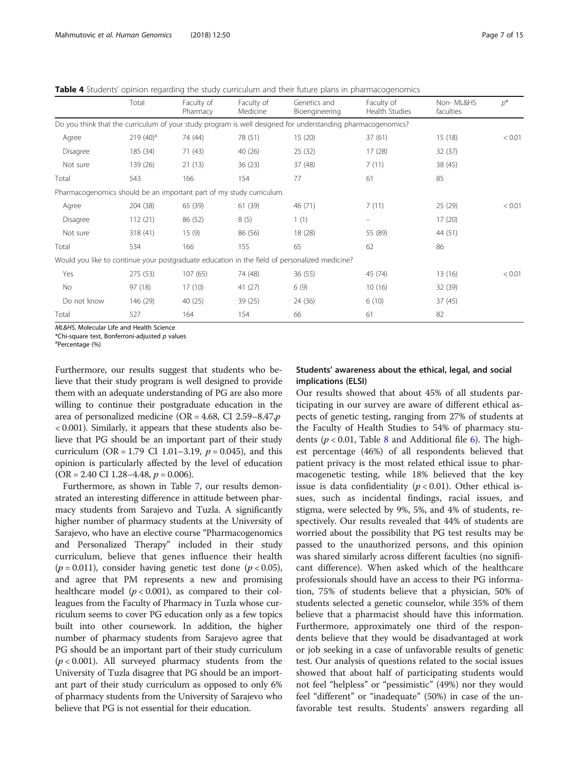<span id="page-6-0"></span>Table 4 Students' opinion regarding the study curriculum and their future plans in pharmacogenomics

|                                                                      | Total        | Faculty of<br>Pharmacy | Faculty of<br>Medicine | Genetics and<br>Bioengineering                                                                              | Faculty of<br>Health Studies | Non-ML&HS<br>faculties | $p^*$  |
|----------------------------------------------------------------------|--------------|------------------------|------------------------|-------------------------------------------------------------------------------------------------------------|------------------------------|------------------------|--------|
|                                                                      |              |                        |                        | Do you think that the curriculum of your study program is well designed for understanding pharmacogenomics? |                              |                        |        |
| Agree                                                                | 219 $(40)^a$ | 74 (44)                | 78 (51)                | 15(20)                                                                                                      | 37(61)                       | 15(18)                 | < 0.01 |
| Disagree                                                             | 185 (34)     | 71(43)                 | 40(26)                 | 25(32)                                                                                                      | 17(28)                       | 32(37)                 |        |
| Not sure                                                             | 139 (26)     | 21(13)                 | 36(23)                 | 37 (48)                                                                                                     | 7(11)                        | 38 (45)                |        |
| Total                                                                | 543          | 166                    | 154                    | 77                                                                                                          | 61                           | 85                     |        |
| Pharmacogenomics should be an important part of my study curriculum. |              |                        |                        |                                                                                                             |                              |                        |        |
| Agree                                                                | 204 (38)     | 65 (39)                | 61 (39)                | 46 (71)                                                                                                     | 7(11)                        | 25(29)                 | < 0.01 |
| Disagree                                                             | 112(21)      | 86 (52)                | 8(5)                   | 1(1)                                                                                                        |                              | 17(20)                 |        |
| Not sure                                                             | 318(41)      | 15(9)                  | 86 (56)                | 18 (28)                                                                                                     | 55 (89)                      | 44 (51)                |        |
| Total                                                                | 534          | 166                    | 155                    | 65                                                                                                          | 62                           | 86                     |        |
|                                                                      |              |                        |                        | Would you like to continue your postgraduate education in the field of personalized medicine?               |                              |                        |        |
| Yes                                                                  | 275 (53)     | 107(65)                | 74 (48)                | 36 (55)                                                                                                     | 45 (74)                      | 13(16)                 | < 0.01 |
| <b>No</b>                                                            | 97 (18)      | 17(10)                 | 41(27)                 | 6(9)                                                                                                        | 10(16)                       | 32(39)                 |        |
| Do not know                                                          | 146 (29)     | 40(25)                 | 39(25)                 | 24 (36)                                                                                                     | 6(10)                        | 37(45)                 |        |
| Total                                                                | 527          | 164                    | 154                    | 66                                                                                                          | 61                           | 82                     |        |

ML&HS, Molecular Life and Health Science

\*Chi-square test, Bonferroni-adjusted  $p$  values

Percentage (%)

Furthermore, our results suggest that students who believe that their study program is well designed to provide them with an adequate understanding of PG are also more willing to continue their postgraduate education in the area of personalized medicine (OR =  $4.68$ , CI 2.59– $8.47$ , $p$ ) < 0.001). Similarly, it appears that these students also believe that PG should be an important part of their study curriculum (OR = 1.79 CI 1.01–3.19,  $p = 0.045$ ), and this opinion is particularly affected by the level of education  $(OR = 2.40 \text{ CI } 1.28 - 4.48, p = 0.006).$ 

Furthermore, as shown in Table [7](#page-8-0), our results demonstrated an interesting difference in attitude between pharmacy students from Sarajevo and Tuzla. A significantly higher number of pharmacy students at the University of Sarajevo, who have an elective course "Pharmacogenomics and Personalized Therapy" included in their study curriculum, believe that genes influence their health  $(p = 0.011)$ , consider having genetic test done  $(p < 0.05)$ , and agree that PM represents a new and promising healthcare model ( $p < 0.001$ ), as compared to their colleagues from the Faculty of Pharmacy in Tuzla whose curriculum seems to cover PG education only as a few topics built into other coursework. In addition, the higher number of pharmacy students from Sarajevo agree that PG should be an important part of their study curriculum  $(p < 0.001)$ . All surveyed pharmacy students from the University of Tuzla disagree that PG should be an important part of their study curriculum as opposed to only 6% of pharmacy students from the University of Sarajevo who believe that PG is not essential for their education.

## Students' awareness about the ethical, legal, and social implications (ELSI)

Our results showed that about 45% of all students participating in our survey are aware of different ethical aspects of genetic testing, ranging from 27% of students at the Faculty of Health Studies to 54% of pharmacy students ( $p < 0.01$ , Table [8](#page-9-0) and Additional file [6\)](#page-12-0). The highest percentage (46%) of all respondents believed that patient privacy is the most related ethical issue to pharmacogenetic testing, while 18% believed that the key issue is data confidentiality ( $p < 0.01$ ). Other ethical issues, such as incidental findings, racial issues, and stigma, were selected by 9%, 5%, and 4% of students, respectively. Our results revealed that 44% of students are worried about the possibility that PG test results may be passed to the unauthorized persons, and this opinion was shared similarly across different faculties (no significant difference). When asked which of the healthcare professionals should have an access to their PG information, 75% of students believe that a physician, 50% of students selected a genetic counselor, while 35% of them believe that a pharmacist should have this information. Furthermore, approximately one third of the respondents believe that they would be disadvantaged at work or job seeking in a case of unfavorable results of genetic test. Our analysis of questions related to the social issues showed that about half of participating students would not feel "helpless" or "pessimistic" (49%) nor they would feel "different" or "inadequate" (50%) in case of the unfavorable test results. Students' answers regarding all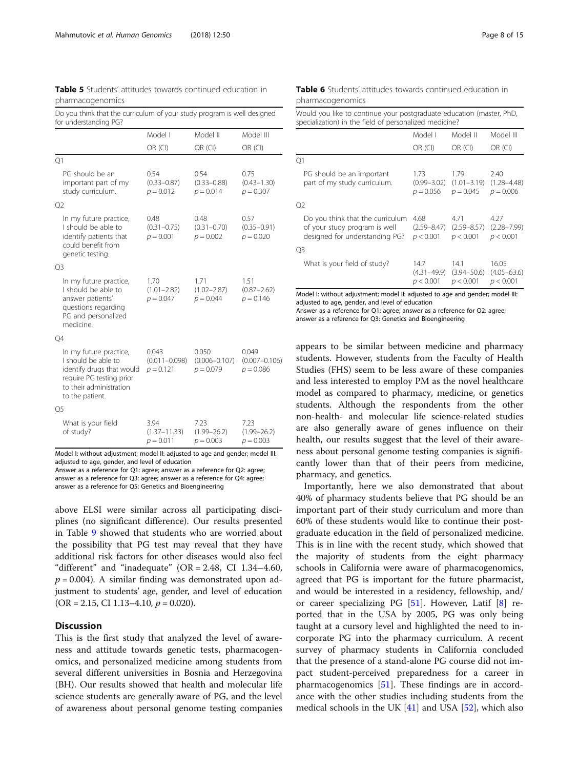<span id="page-7-0"></span>

| <b>Table 5</b> Students' attitudes towards continued education in |  |  |  |
|-------------------------------------------------------------------|--|--|--|
| pharmacogenomics                                                  |  |  |  |

| Do you think that the curriculum of your study program is well designed<br>for understanding PG?                                                     |                                           |                                           |                                           |
|------------------------------------------------------------------------------------------------------------------------------------------------------|-------------------------------------------|-------------------------------------------|-------------------------------------------|
|                                                                                                                                                      | Model I                                   | Model II                                  | Model III                                 |
|                                                                                                                                                      | OR (CI)                                   | OR (CI)                                   | OR (CI)                                   |
| Q1                                                                                                                                                   |                                           |                                           |                                           |
| PG should be an<br>important part of my<br>study curriculum.                                                                                         | 0.54<br>$(0.33 - 0.87)$<br>$p = 0.012$    | 0.54<br>$(0.33 - 0.88)$<br>$p = 0.014$    | 0.75<br>$(0.43 - 1.30)$<br>$p = 0.307$    |
| Q <sub>2</sub>                                                                                                                                       |                                           |                                           |                                           |
| In my future practice,<br>I should be able to<br>identify patients that<br>could benefit from<br>genetic testing.                                    | 0.48<br>$(0.31 - 0.75)$<br>$p = 0.001$    | 0.48<br>$(0.31 - 0.70)$<br>$p = 0.002$    | 0.57<br>$(0.35 - 0.91)$<br>$p = 0.020$    |
| Q <sub>3</sub>                                                                                                                                       |                                           |                                           |                                           |
| In my future practice,<br>I should be able to<br>answer patients'<br>questions regarding<br>PG and personalized<br>medicine.                         | 1.70<br>$(1.01 - 2.82)$<br>$p = 0.047$    | 1.71<br>$(1.02 - 2.87)$<br>$p = 0.044$    | 1.51<br>$(0.87 - 2.62)$<br>$p = 0.146$    |
| Q4                                                                                                                                                   |                                           |                                           |                                           |
| In my future practice,<br>I should be able to<br>identify drugs that would<br>require PG testing prior<br>to their administration<br>to the patient. | 0.043<br>$(0.011 - 0.098)$<br>$p = 0.121$ | 0.050<br>$(0.006 - 0.107)$<br>$p = 0.079$ | 0.049<br>$(0.007 - 0.106)$<br>$p = 0.086$ |
| Q <sub>5</sub>                                                                                                                                       |                                           |                                           |                                           |
| What is your field<br>of study?                                                                                                                      | 3.94<br>$(1.37 - 11.33)$<br>$p = 0.011$   | 7.23<br>$(1.99 - 26.2)$<br>$p = 0.003$    | 7.23<br>$(1.99 - 26.2)$<br>$p = 0.003$    |

Model I: without adjustment; model II: adjusted to age and gender; model III: adjusted to age, gender, and level of education Answer as a reference for Q1: agree; answer as a reference for Q2: agree;

answer as a reference for Q3: agree; answer as a reference for Q4: agree; answer as a reference for Q5: Genetics and Bioengineering

above ELSI were similar across all participating disciplines (no significant difference). Our results presented in Table [9](#page-10-0) showed that students who are worried about the possibility that PG test may reveal that they have additional risk factors for other diseases would also feel "different" and "inadequate"  $(OR = 2.48, CI 1.34-4.60,$  $p = 0.004$ ). A similar finding was demonstrated upon adjustment to students' age, gender, and level of education  $(OR = 2.15, CI 1.13–4.10, p = 0.020).$ 

## **Discussion**

This is the first study that analyzed the level of awareness and attitude towards genetic tests, pharmacogenomics, and personalized medicine among students from several different universities in Bosnia and Herzegovina (BH). Our results showed that health and molecular life science students are generally aware of PG, and the level of awareness about personal genome testing companies

| Would you like to continue your postgraduate education (master, PhD, |  |
|----------------------------------------------------------------------|--|
| specialization) in the field of personalized medicine?               |  |

|                                                                                                     | Model I                                | Model II                               | Model III                              |
|-----------------------------------------------------------------------------------------------------|----------------------------------------|----------------------------------------|----------------------------------------|
|                                                                                                     | $OR$ (CI)                              | OR (CI)                                | $OR$ (CI)                              |
| O1                                                                                                  |                                        |                                        |                                        |
| PG should be an important<br>part of my study curriculum.                                           | 1.73<br>$(0.99 - 3.02)$<br>$p = 0.056$ | 1.79<br>$(1.01 - 3.19)$<br>$p = 0.045$ | 2.40<br>$(1.28 - 4.48)$<br>$p = 0.006$ |
| Q <sub>2</sub>                                                                                      |                                        |                                        |                                        |
| Do you think that the curriculum<br>of your study program is well<br>designed for understanding PG? | 4.68<br>$(2.59 - 8.47)$<br>p < 0.001   | 4.71<br>$(2.59 - 8.57)$<br>p < 0.001   | 4.27<br>$(2.28 - 7.99)$<br>p < 0.001   |
| Q3                                                                                                  |                                        |                                        |                                        |
| What is your field of study?                                                                        | 14.7<br>$(4.31 - 49.9)$<br>p < 0.001   | 14.1<br>$(3.94 - 50.6)$<br>p < 0.001   | 16.05<br>$(4.05 - 63.6)$<br>p < 0.001  |

Model I: without adjustment; model II: adjusted to age and gender; model III: adjusted to age, gender, and level of education Answer as a reference for Q1: agree; answer as a reference for Q2: agree;

answer as a reference for Q3: Genetics and Bioengineering

appears to be similar between medicine and pharmacy students. However, students from the Faculty of Health Studies (FHS) seem to be less aware of these companies and less interested to employ PM as the novel healthcare model as compared to pharmacy, medicine, or genetics students. Although the respondents from the other non-health- and molecular life science-related studies are also generally aware of genes influence on their health, our results suggest that the level of their awareness about personal genome testing companies is significantly lower than that of their peers from medicine, pharmacy, and genetics.

Importantly, here we also demonstrated that about 40% of pharmacy students believe that PG should be an important part of their study curriculum and more than 60% of these students would like to continue their postgraduate education in the field of personalized medicine. This is in line with the recent study, which showed that the majority of students from the eight pharmacy schools in California were aware of pharmacogenomics, agreed that PG is important for the future pharmacist, and would be interested in a residency, fellowship, and/ or career specializing PG  $[51]$  $[51]$  $[51]$ . However, Latif  $[8]$  $[8]$  $[8]$  reported that in the USA by 2005, PG was only being taught at a cursory level and highlighted the need to incorporate PG into the pharmacy curriculum. A recent survey of pharmacy students in California concluded that the presence of a stand-alone PG course did not impact student-perceived preparedness for a career in pharmacogenomics [[51\]](#page-13-0). These findings are in accordance with the other studies including students from the medical schools in the UK  $[41]$  $[41]$  $[41]$  and USA  $[52]$  $[52]$ , which also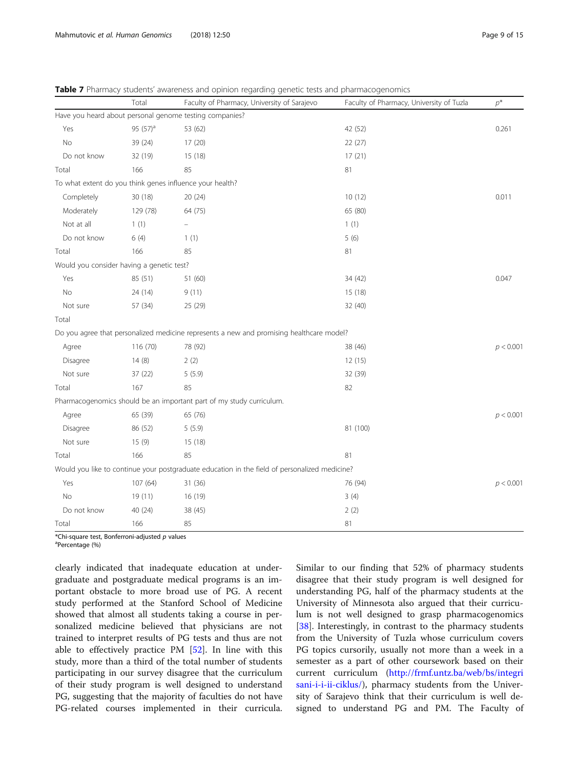|                                           | Total       | Faculty of Pharmacy, University of Sarajevo                                                   | Faculty of Pharmacy, University of Tuzla | $p^*$     |
|-------------------------------------------|-------------|-----------------------------------------------------------------------------------------------|------------------------------------------|-----------|
|                                           |             | Have you heard about personal genome testing companies?                                       |                                          |           |
| Yes                                       | 95 $(57)^a$ | 53 (62)                                                                                       | 42 (52)                                  | 0.261     |
| No                                        | 39 (24)     | 17 (20)                                                                                       | 22 (27)                                  |           |
| Do not know                               | 32 (19)     | 15 (18)                                                                                       | 17(21)                                   |           |
| Total                                     | 166         | 85                                                                                            | 81                                       |           |
|                                           |             | To what extent do you think genes influence your health?                                      |                                          |           |
| Completely                                | 30 (18)     | 20(24)                                                                                        | 10(12)                                   | 0.011     |
| Moderately                                | 129 (78)    | 64 (75)                                                                                       | 65 (80)                                  |           |
| Not at all                                | 1(1)        |                                                                                               | 1(1)                                     |           |
| Do not know                               | 6(4)        | 1(1)                                                                                          | 5(6)                                     |           |
| Total                                     | 166         | 85                                                                                            | 81                                       |           |
| Would you consider having a genetic test? |             |                                                                                               |                                          |           |
| Yes                                       | 85(51)      | 51 (60)                                                                                       | 34 (42)                                  | 0.047     |
| <b>No</b>                                 | 24 (14)     | 9(11)                                                                                         | 15 (18)                                  |           |
| Not sure                                  | 57 (34)     | 25 (29)                                                                                       | 32 (40)                                  |           |
| Total                                     |             |                                                                                               |                                          |           |
|                                           |             | Do you agree that personalized medicine represents a new and promising healthcare model?      |                                          |           |
| Agree                                     | 116 (70)    | 78 (92)                                                                                       | 38 (46)                                  | p < 0.001 |
| Disagree                                  | 14(8)       | 2(2)                                                                                          | 12(15)                                   |           |
| Not sure                                  | 37 (22)     | 5(5.9)                                                                                        | 32 (39)                                  |           |
| Total                                     | 167         | 85                                                                                            | 82                                       |           |
|                                           |             | Pharmacogenomics should be an important part of my study curriculum.                          |                                          |           |
| Agree                                     | 65 (39)     | 65 (76)                                                                                       |                                          | p < 0.001 |
| Disagree                                  | 86 (52)     | 5(5.9)                                                                                        | 81 (100)                                 |           |
| Not sure                                  | 15(9)       | 15 (18)                                                                                       |                                          |           |
| Total                                     | 166         | 85                                                                                            | 81                                       |           |
|                                           |             | Would you like to continue your postgraduate education in the field of personalized medicine? |                                          |           |
| Yes                                       | 107 (64)    | 31 (36)                                                                                       | 76 (94)                                  | p < 0.001 |
| No                                        | 19 (11)     | 16 (19)                                                                                       | 3(4)                                     |           |
| Do not know                               | 40 (24)     | 38 (45)                                                                                       | 2(2)                                     |           |
| Total                                     | 166         | 85                                                                                            | 81                                       |           |

<span id="page-8-0"></span>

|  |  |  |  | <b>Table 7</b> Pharmacy students' awareness and opinion regarding genetic tests and pharmacogenomics |  |
|--|--|--|--|------------------------------------------------------------------------------------------------------|--|
|  |  |  |  |                                                                                                      |  |
|  |  |  |  |                                                                                                      |  |

:hi-square test, Bonferroni-adjusted  $\bm{\mathsf{p}}$  values

Percentage (%)

clearly indicated that inadequate education at undergraduate and postgraduate medical programs is an important obstacle to more broad use of PG. A recent study performed at the Stanford School of Medicine showed that almost all students taking a course in personalized medicine believed that physicians are not trained to interpret results of PG tests and thus are not able to effectively practice PM [\[52\]](#page-13-0). In line with this study, more than a third of the total number of students participating in our survey disagree that the curriculum of their study program is well designed to understand PG, suggesting that the majority of faculties do not have PG-related courses implemented in their curricula. Similar to our finding that 52% of pharmacy students disagree that their study program is well designed for understanding PG, half of the pharmacy students at the University of Minnesota also argued that their curriculum is not well designed to grasp pharmacogenomics [[38\]](#page-13-0). Interestingly, in contrast to the pharmacy students from the University of Tuzla whose curriculum covers PG topics cursorily, usually not more than a week in a semester as a part of other coursework based on their current curriculum [\(http://frmf.untz.ba/web/bs/integri](http://frmf.untz.ba/web/bs/integrisani-i-i-ii-ciklus/) [sani-i-i-ii-ciklus/\)](http://frmf.untz.ba/web/bs/integrisani-i-i-ii-ciklus/), pharmacy students from the University of Sarajevo think that their curriculum is well designed to understand PG and PM. The Faculty of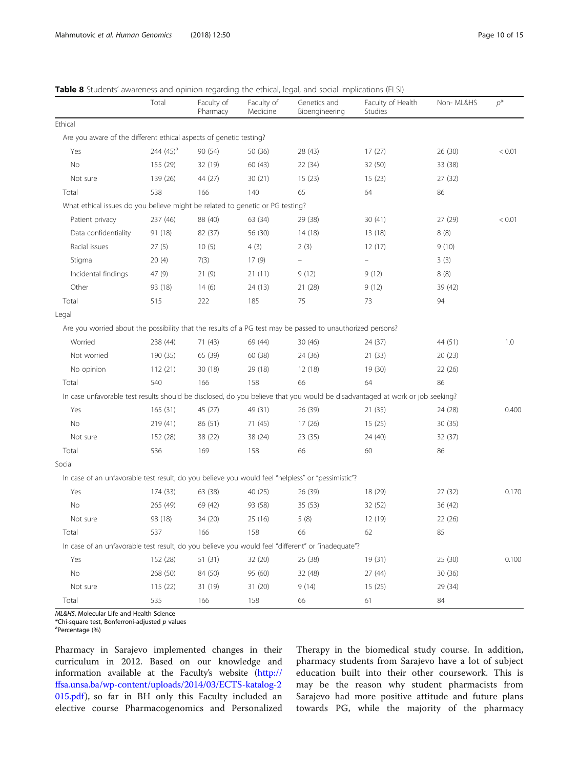<span id="page-9-0"></span>Table 8 Students' awareness and opinion regarding the ethical, legal, and social implications (ELSI)

|                                                                                                                              | Total        | Faculty of<br>Pharmacy | Faculty of<br>Medicine | Genetics and<br>Bioengineering | Faculty of Health<br>Studies | Non-ML&HS | $D^*$  |
|------------------------------------------------------------------------------------------------------------------------------|--------------|------------------------|------------------------|--------------------------------|------------------------------|-----------|--------|
| Ethical                                                                                                                      |              |                        |                        |                                |                              |           |        |
| Are you aware of the different ethical aspects of genetic testing?                                                           |              |                        |                        |                                |                              |           |        |
| Yes                                                                                                                          | 244 $(45)^a$ | 90 (54)                | 50 (36)                | 28 (43)                        | 17(27)                       | 26 (30)   | < 0.01 |
| No                                                                                                                           | 155 (29)     | 32 (19)                | 60(43)                 | 22 (34)                        | 32 (50)                      | 33 (38)   |        |
| Not sure                                                                                                                     | 139 (26)     | 44 (27)                | 30(21)                 | 15(23)                         | 15(23)                       | 27 (32)   |        |
| Total                                                                                                                        | 538          | 166                    | 140                    | 65                             | 64                           | 86        |        |
| What ethical issues do you believe might be related to genetic or PG testing?                                                |              |                        |                        |                                |                              |           |        |
| Patient privacy                                                                                                              | 237 (46)     | 88 (40)                | 63 (34)                | 29 (38)                        | 30(41)                       | 27 (29)   | < 0.01 |
| Data confidentiality                                                                                                         | 91 (18)      | 82 (37)                | 56 (30)                | 14 (18)                        | 13(18)                       | 8(8)      |        |
| Racial issues                                                                                                                | 27(5)        | 10(5)                  | 4(3)                   | 2(3)                           | 12(17)                       | 9(10)     |        |
| Stigma                                                                                                                       | 20(4)        | 7(3)                   | 17(9)                  |                                |                              | 3(3)      |        |
| Incidental findings                                                                                                          | 47 (9)       | 21(9)                  | 21(11)                 | 9(12)                          | 9(12)                        | 8(8)      |        |
| Other                                                                                                                        | 93 (18)      | 14(6)                  | 24 (13)                | 21(28)                         | 9(12)                        | 39 (42)   |        |
| Total                                                                                                                        | 515          | 222                    | 185                    | 75                             | 73                           | 94        |        |
| Legal                                                                                                                        |              |                        |                        |                                |                              |           |        |
| Are you worried about the possibility that the results of a PG test may be passed to unauthorized persons?                   |              |                        |                        |                                |                              |           |        |
| Worried                                                                                                                      | 238 (44)     | 71 (43)                | 69 (44)                | 30(46)                         | 24 (37)                      | 44 (51)   | 1.0    |
| Not worried                                                                                                                  | 190 (35)     | 65 (39)                | 60 (38)                | 24 (36)                        | 21(33)                       | 20(23)    |        |
| No opinion                                                                                                                   | 112(21)      | 30(18)                 | 29 (18)                | 12(18)                         | 19 (30)                      | 22 (26)   |        |
| Total                                                                                                                        | 540          | 166                    | 158                    | 66                             | 64                           | 86        |        |
| In case unfavorable test results should be disclosed, do you believe that you would be disadvantaged at work or job seeking? |              |                        |                        |                                |                              |           |        |
| Yes                                                                                                                          | 165(31)      | 45 (27)                | 49 (31)                | 26 (39)                        | 21(35)                       | 24 (28)   | 0.400  |
| No                                                                                                                           | 219(41)      | 86 (51)                | 71 (45)                | 17(26)                         | 15(25)                       | 30(35)    |        |
| Not sure                                                                                                                     | 152 (28)     | 38(22)                 | 38 (24)                | 23 (35)                        | 24 (40)                      | 32(37)    |        |
| Total                                                                                                                        | 536          | 169                    | 158                    | 66                             | 60                           | 86        |        |
| Social                                                                                                                       |              |                        |                        |                                |                              |           |        |
| In case of an unfavorable test result, do you believe you would feel "helpless" or "pessimistic"?                            |              |                        |                        |                                |                              |           |        |
| Yes                                                                                                                          | 174 (33)     | 63 (38)                | 40 (25)                | 26 (39)                        | 18 (29)                      | 27 (32)   | 0.170  |
| No                                                                                                                           | 265 (49)     | 69 (42)                | 93 (58)                | 35(53)                         | 32 (52)                      | 36 (42)   |        |
| Not sure                                                                                                                     | 98 (18)      | 34 (20)                | 25(16)                 | 5(8)                           | 12 (19)                      | 22(26)    |        |
| Total                                                                                                                        | 537          | 166                    | 158                    | 66                             | 62                           | 85        |        |
| In case of an unfavorable test result, do you believe you would feel "different" or "inadequate"?                            |              |                        |                        |                                |                              |           |        |
| Yes                                                                                                                          | 152 (28)     | 51(31)                 | 32 (20)                | 25 (38)                        | 19 (31)                      | 25 (30)   | 0.100  |
| No                                                                                                                           | 268 (50)     | 84 (50)                | 95 (60)                | 32 (48)                        | 27 (44)                      | 30 (36)   |        |
| Not sure                                                                                                                     | 115 (22)     | 31 (19)                | 31 (20)                | 9(14)                          | 15(25)                       | 29 (34)   |        |
| Total                                                                                                                        | 535          | 166                    | 158                    | 66                             | 61                           | 84        |        |

ML&HS, Molecular Life and Health Science

\*Chi-square test, Bonferroni-adjusted  $p$  values

Percentage (%)

Pharmacy in Sarajevo implemented changes in their curriculum in 2012. Based on our knowledge and information available at the Faculty's website ([http://](http://ffsa.unsa.ba/wp-content/uploads/2014/03/ECTS-katalog-2015.pdf) [ffsa.unsa.ba/wp-content/uploads/2014/03/ECTS-katalog-2](http://ffsa.unsa.ba/wp-content/uploads/2014/03/ECTS-katalog-2015.pdf) [015.pdf](http://ffsa.unsa.ba/wp-content/uploads/2014/03/ECTS-katalog-2015.pdf)), so far in BH only this Faculty included an elective course Pharmacogenomics and Personalized Therapy in the biomedical study course. In addition, pharmacy students from Sarajevo have a lot of subject education built into their other coursework. This is may be the reason why student pharmacists from Sarajevo had more positive attitude and future plans towards PG, while the majority of the pharmacy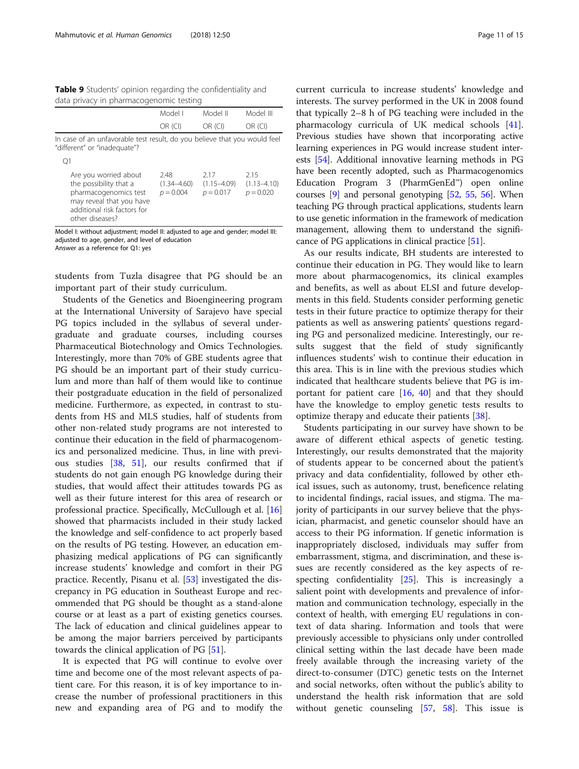<span id="page-10-0"></span>Table 9 Students' opinion regarding the confidentiality and data privacy in pharmacogenomic testing

|                                                                                                                                                        | Model I                                | Model II                              | Model III                             |  |  |  |  |  |
|--------------------------------------------------------------------------------------------------------------------------------------------------------|----------------------------------------|---------------------------------------|---------------------------------------|--|--|--|--|--|
|                                                                                                                                                        | OR (CI)                                | $OR$ (CI)                             | $OR$ (CI)                             |  |  |  |  |  |
| In case of an unfavorable test result, do you believe that you would feel<br>"different" or "inadequate"?                                              |                                        |                                       |                                       |  |  |  |  |  |
| O1                                                                                                                                                     |                                        |                                       |                                       |  |  |  |  |  |
| Are you worried about<br>the possibility that a<br>pharmacogenomics test<br>may reveal that you have<br>additional risk factors for<br>other diseases? | 2.48<br>$(1.34 - 4.60)$<br>$p = 0.004$ | 217<br>$(1.15 - 4.09)$<br>$p = 0.017$ | 215<br>$(1.13 - 4.10)$<br>$p = 0.020$ |  |  |  |  |  |

Model I: without adjustment; model II: adjusted to age and gender; model III: adjusted to age, gender, and level of education Answer as a reference for Q1: yes

students from Tuzla disagree that PG should be an important part of their study curriculum.

Students of the Genetics and Bioengineering program at the International University of Sarajevo have special PG topics included in the syllabus of several undergraduate and graduate courses, including courses Pharmaceutical Biotechnology and Omics Technologies. Interestingly, more than 70% of GBE students agree that PG should be an important part of their study curriculum and more than half of them would like to continue their postgraduate education in the field of personalized medicine. Furthermore, as expected, in contrast to students from HS and MLS studies, half of students from other non-related study programs are not interested to continue their education in the field of pharmacogenomics and personalized medicine. Thus, in line with previous studies [[38](#page-13-0), [51](#page-13-0)], our results confirmed that if students do not gain enough PG knowledge during their studies, that would affect their attitudes towards PG as well as their future interest for this area of research or professional practice. Specifically, McCullough et al. [[16](#page-13-0)] showed that pharmacists included in their study lacked the knowledge and self-confidence to act properly based on the results of PG testing. However, an education emphasizing medical applications of PG can significantly increase students' knowledge and comfort in their PG practice. Recently, Pisanu et al. [\[53](#page-13-0)] investigated the discrepancy in PG education in Southeast Europe and recommended that PG should be thought as a stand-alone course or at least as a part of existing genetics courses. The lack of education and clinical guidelines appear to be among the major barriers perceived by participants towards the clinical application of PG [\[51](#page-13-0)].

It is expected that PG will continue to evolve over time and become one of the most relevant aspects of patient care. For this reason, it is of key importance to increase the number of professional practitioners in this new and expanding area of PG and to modify the

current curricula to increase students' knowledge and interests. The survey performed in the UK in 2008 found that typically 2–8 h of PG teaching were included in the pharmacology curricula of UK medical schools [\[41](#page-13-0)]. Previous studies have shown that incorporating active learning experiences in PG would increase student interests [\[54\]](#page-13-0). Additional innovative learning methods in PG have been recently adopted, such as Pharmacogenomics Education Program 3 (PharmGenEd™) open online courses [\[9\]](#page-13-0) and personal genotyping [[52](#page-13-0), [55](#page-13-0), [56](#page-13-0)]. When teaching PG through practical applications, students learn to use genetic information in the framework of medication management, allowing them to understand the significance of PG applications in clinical practice [\[51](#page-13-0)].

As our results indicate, BH students are interested to continue their education in PG. They would like to learn more about pharmacogenomics, its clinical examples and benefits, as well as about ELSI and future developments in this field. Students consider performing genetic tests in their future practice to optimize therapy for their patients as well as answering patients' questions regarding PG and personalized medicine. Interestingly, our results suggest that the field of study significantly influences students' wish to continue their education in this area. This is in line with the previous studies which indicated that healthcare students believe that PG is important for patient care [[16,](#page-13-0) [40\]](#page-13-0) and that they should have the knowledge to employ genetic tests results to optimize therapy and educate their patients [\[38](#page-13-0)].

Students participating in our survey have shown to be aware of different ethical aspects of genetic testing. Interestingly, our results demonstrated that the majority of students appear to be concerned about the patient's privacy and data confidentiality, followed by other ethical issues, such as autonomy, trust, beneficence relating to incidental findings, racial issues, and stigma. The majority of participants in our survey believe that the physician, pharmacist, and genetic counselor should have an access to their PG information. If genetic information is inappropriately disclosed, individuals may suffer from embarrassment, stigma, and discrimination, and these issues are recently considered as the key aspects of respecting confidentiality [\[25](#page-13-0)]. This is increasingly a salient point with developments and prevalence of information and communication technology, especially in the context of health, with emerging EU regulations in context of data sharing. Information and tools that were previously accessible to physicians only under controlled clinical setting within the last decade have been made freely available through the increasing variety of the direct-to-consumer (DTC) genetic tests on the Internet and social networks, often without the public's ability to understand the health risk information that are sold without genetic counseling [[57,](#page-13-0) [58](#page-13-0)]. This issue is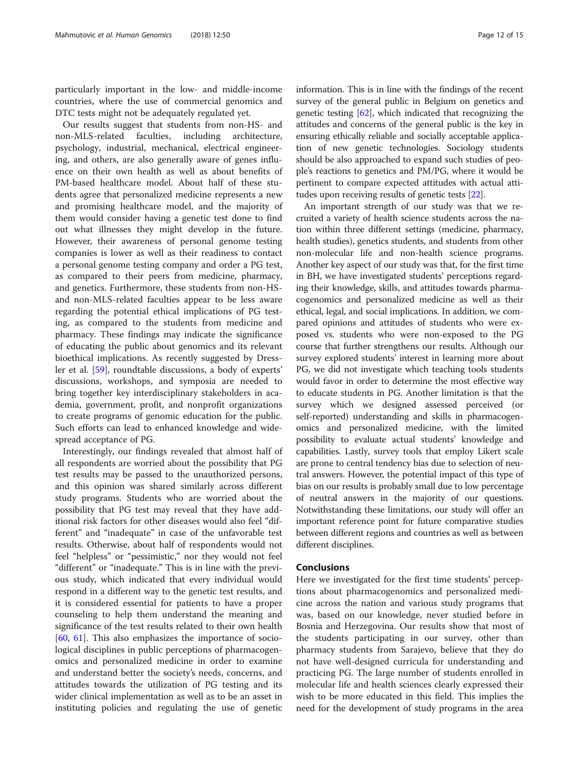particularly important in the low- and middle-income countries, where the use of commercial genomics and DTC tests might not be adequately regulated yet.

Our results suggest that students from non-HS- and non-MLS-related faculties, including architecture, psychology, industrial, mechanical, electrical engineering, and others, are also generally aware of genes influence on their own health as well as about benefits of PM-based healthcare model. About half of these students agree that personalized medicine represents a new and promising healthcare model, and the majority of them would consider having a genetic test done to find out what illnesses they might develop in the future. However, their awareness of personal genome testing companies is lower as well as their readiness to contact a personal genome testing company and order a PG test, as compared to their peers from medicine, pharmacy, and genetics. Furthermore, these students from non-HSand non-MLS-related faculties appear to be less aware regarding the potential ethical implications of PG testing, as compared to the students from medicine and pharmacy. These findings may indicate the significance of educating the public about genomics and its relevant bioethical implications. As recently suggested by Dressler et al. [[59\]](#page-14-0), roundtable discussions, a body of experts' discussions, workshops, and symposia are needed to bring together key interdisciplinary stakeholders in academia, government, profit, and nonprofit organizations to create programs of genomic education for the public. Such efforts can lead to enhanced knowledge and widespread acceptance of PG.

Interestingly, our findings revealed that almost half of all respondents are worried about the possibility that PG test results may be passed to the unauthorized persons, and this opinion was shared similarly across different study programs. Students who are worried about the possibility that PG test may reveal that they have additional risk factors for other diseases would also feel "different" and "inadequate" in case of the unfavorable test results. Otherwise, about half of respondents would not feel "helpless" or "pessimistic," nor they would not feel "different" or "inadequate." This is in line with the previous study, which indicated that every individual would respond in a different way to the genetic test results, and it is considered essential for patients to have a proper counseling to help them understand the meaning and significance of the test results related to their own health [[60,](#page-14-0) [61\]](#page-14-0). This also emphasizes the importance of sociological disciplines in public perceptions of pharmacogenomics and personalized medicine in order to examine and understand better the society's needs, concerns, and attitudes towards the utilization of PG testing and its wider clinical implementation as well as to be an asset in instituting policies and regulating the use of genetic

information. This is in line with the findings of the recent survey of the general public in Belgium on genetics and genetic testing [\[62\]](#page-14-0), which indicated that recognizing the attitudes and concerns of the general public is the key in ensuring ethically reliable and socially acceptable application of new genetic technologies. Sociology students should be also approached to expand such studies of people's reactions to genetics and PM/PG, where it would be pertinent to compare expected attitudes with actual attitudes upon receiving results of genetic tests [[22](#page-13-0)].

An important strength of our study was that we recruited a variety of health science students across the nation within three different settings (medicine, pharmacy, health studies), genetics students, and students from other non-molecular life and non-health science programs. Another key aspect of our study was that, for the first time in BH, we have investigated students' perceptions regarding their knowledge, skills, and attitudes towards pharmacogenomics and personalized medicine as well as their ethical, legal, and social implications. In addition, we compared opinions and attitudes of students who were exposed vs. students who were non-exposed to the PG course that further strengthens our results. Although our survey explored students' interest in learning more about PG, we did not investigate which teaching tools students would favor in order to determine the most effective way to educate students in PG. Another limitation is that the survey which we designed assessed perceived (or self-reported) understanding and skills in pharmacogenomics and personalized medicine, with the limited possibility to evaluate actual students' knowledge and capabilities. Lastly, survey tools that employ Likert scale are prone to central tendency bias due to selection of neutral answers. However, the potential impact of this type of bias on our results is probably small due to low percentage of neutral answers in the majority of our questions. Notwithstanding these limitations, our study will offer an important reference point for future comparative studies between different regions and countries as well as between different disciplines.

#### Conclusions

Here we investigated for the first time students' perceptions about pharmacogenomics and personalized medicine across the nation and various study programs that was, based on our knowledge, never studied before in Bosnia and Herzegovina. Our results show that most of the students participating in our survey, other than pharmacy students from Sarajevo, believe that they do not have well-designed curricula for understanding and practicing PG. The large number of students enrolled in molecular life and health sciences clearly expressed their wish to be more educated in this field. This implies the need for the development of study programs in the area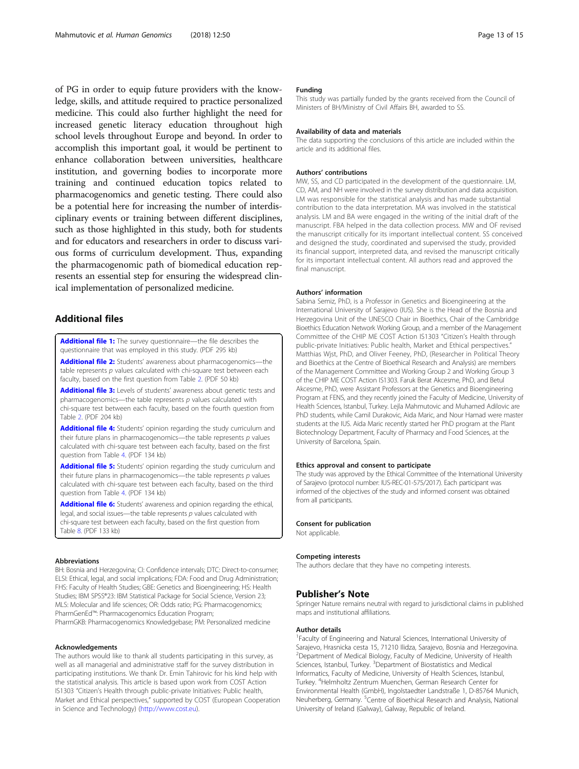<span id="page-12-0"></span>of PG in order to equip future providers with the knowledge, skills, and attitude required to practice personalized medicine. This could also further highlight the need for increased genetic literacy education throughout high school levels throughout Europe and beyond. In order to accomplish this important goal, it would be pertinent to enhance collaboration between universities, healthcare institution, and governing bodies to incorporate more training and continued education topics related to pharmacogenomics and genetic testing. There could also be a potential here for increasing the number of interdisciplinary events or training between different disciplines, such as those highlighted in this study, both for students and for educators and researchers in order to discuss various forms of curriculum development. Thus, expanding the pharmacogenomic path of biomedical education represents an essential step for ensuring the widespread clinical implementation of personalized medicine.

## Additional files

[Additional file 1:](https://doi.org/10.1186/s40246-018-0182-2) The survey questionnaire—the file describes the questionnaire that was employed in this study. (PDF 295 kb)

[Additional file 2:](https://doi.org/10.1186/s40246-018-0182-2) Students' awareness about pharmacogenomics-the table represents  $p$  values calculated with chi-square test between each faculty, based on the first question from Table [2](#page-4-0). (PDF 50 kb)

[Additional file 3:](https://doi.org/10.1186/s40246-018-0182-2) Levels of students' awareness about genetic tests and pharmacogenomics—the table represents  $p$  values calculated with chi-square test between each faculty, based on the fourth question from Table [2.](#page-4-0) (PDF 204 kb)

[Additional file 4:](https://doi.org/10.1186/s40246-018-0182-2) Students' opinion regarding the study curriculum and their future plans in pharmacogenomics—the table represents  $p$  values calculated with chi-square test between each faculty, based on the first question from Table [4.](#page-6-0) (PDF 134 kb)

[Additional file 5:](https://doi.org/10.1186/s40246-018-0182-2) Students' opinion regarding the study curriculum and their future plans in pharmacogenomics—the table represents  $p$  values calculated with chi-square test between each faculty, based on the third question from Table [4.](#page-6-0) (PDF 134 kb)

[Additional file 6:](https://doi.org/10.1186/s40246-018-0182-2) Students' awareness and opinion regarding the ethical, legal, and social issues—the table represents  $p$  values calculated with chi-square test between each faculty, based on the first question from Table [8](#page-9-0). (PDF 133 kb)

#### Abbreviations

BH: Bosnia and Herzegovina; CI: Confidence intervals; DTC: Direct-to-consumer; ELSI: Ethical, legal, and social implications; FDA: Food and Drug Administration; FHS: Faculty of Health Studies; GBE: Genetics and Bioengineering; HS: Health Studies; IBM SPSS®23: IBM Statistical Package for Social Science, Version 23; MLS: Molecular and life sciences; OR: Odds ratio; PG: Pharmacogenomics; PharmGenEd™: Pharmacogenomics Education Program; PharmGKB: Pharmacogenomics Knowledgebase; PM: Personalized medicine

#### Acknowledgements

The authors would like to thank all students participating in this survey, as well as all managerial and administrative staff for the survey distribution in participating institutions. We thank Dr. Emin Tahirovic for his kind help with the statistical analysis. This article is based upon work from COST Action IS1303 "Citizen's Health through public-private Initiatives: Public health, Market and Ethical perspectives," supported by COST (European Cooperation in Science and Technology) ([http://www.cost.eu\)](http://www.cost.eu).

#### Funding

This study was partially funded by the grants received from the Council of Ministers of BH/Ministry of Civil Affairs BH, awarded to SS.

#### Availability of data and materials

The data supporting the conclusions of this article are included within the article and its additional files.

#### Authors' contributions

MW, SS, and CD participated in the development of the questionnaire. LM, CD, AM, and NH were involved in the survey distribution and data acquisition. LM was responsible for the statistical analysis and has made substantial contribution to the data interpretation. MA was involved in the statistical analysis. LM and BA were engaged in the writing of the initial draft of the manuscript. FBA helped in the data collection process. MW and OF revised the manuscript critically for its important intellectual content. SS conceived and designed the study, coordinated and supervised the study, provided its financial support, interpreted data, and revised the manuscript critically for its important intellectual content. All authors read and approved the final manuscript.

#### Authors' information

Sabina Semiz, PhD, is a Professor in Genetics and Bioengineering at the International University of Sarajevo (IUS). She is the Head of the Bosnia and Herzegovina Unit of the UNESCO Chair in Bioethics, Chair of the Cambridge Bioethics Education Network Working Group, and a member of the Management Committee of the CHIP ME COST Action IS1303 "Citizen's Health through public-private Initiatives: Public health, Market and Ethical perspectives." Matthias Wjst, PhD, and Oliver Feeney, PhD, (Researcher in Political Theory and Bioethics at the Centre of Bioethical Research and Analysis) are members of the Management Committee and Working Group 2 and Working Group 3 of the CHIP ME COST Action IS1303. Faruk Berat Akcesme, PhD, and Betul Akcesme, PhD, were Assistant Professors at the Genetics and Bioengineering Program at FENS, and they recently joined the Faculty of Medicine, University of Health Sciences, Istanbul, Turkey. Lejla Mahmutovic and Muhamed Adilovic are PhD students, while Camil Durakovic, Aida Maric, and Nour Hamad were master students at the IUS. Aida Maric recently started her PhD program at the Plant Biotechnology Department, Faculty of Pharmacy and Food Sciences, at the University of Barcelona, Spain.

#### Ethics approval and consent to participate

The study was approved by the Ethical Committee of the International University of Sarajevo (protocol number: IUS-REC-01-575/2017). Each participant was informed of the objectives of the study and informed consent was obtained from all participants.

#### Consent for publication

Not applicable.

#### Competing interests

The authors declare that they have no competing interests.

#### Publisher's Note

Springer Nature remains neutral with regard to jurisdictional claims in published maps and institutional affiliations.

#### Author details

<sup>1</sup> Faculty of Engineering and Natural Sciences, International University of Sarajevo, Hrasnicka cesta 15, 71210 Ilidza, Sarajevo, Bosnia and Herzegovina. <sup>2</sup> Department of Medical Biology, Faculty of Medicine, University of Health Sciences, Istanbul, Turkey. <sup>3</sup>Department of Biostatistics and Medical Informatics, Faculty of Medicine, University of Health Sciences, Istanbul, Turkey. <sup>4</sup> Helmholtz Zentrum Muenchen, German Research Center for Environmental Health (GmbH), Ingolstaedter Landstraße 1, D-85764 Munich, Neuherberg, Germany. <sup>5</sup>Centre of Bioethical Research and Analysis, National University of Ireland (Galway), Galway, Republic of Ireland.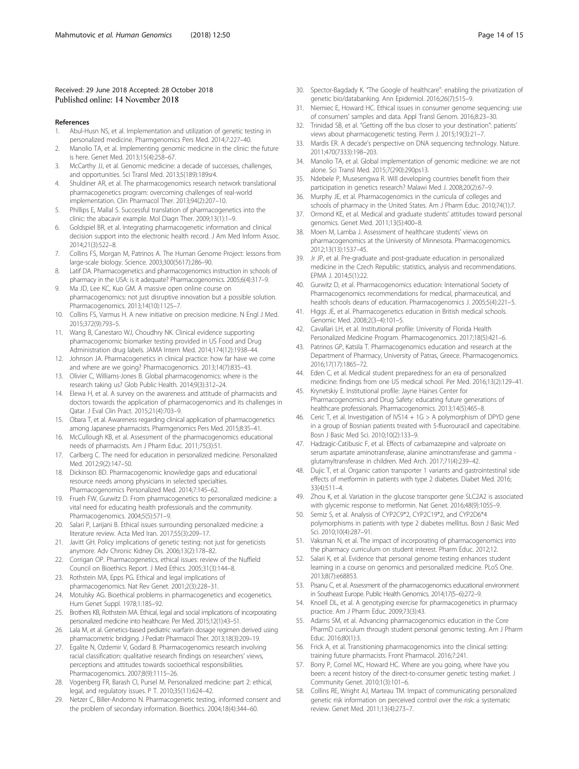#### <span id="page-13-0"></span>Received: 29 June 2018 Accepted: 28 October 2018 Published online: 14 November 2018

#### References

- 1. Abul-Husn NS, et al. Implementation and utilization of genetic testing in personalized medicine. Pharmgenomics Pers Med. 2014;7:227–40.
- 2. Manolio TA, et al. Implementing genomic medicine in the clinic: the future is here. Genet Med. 2013;15(4):258–67.
- 3. McCarthy JJ, et al. Genomic medicine: a decade of successes, challenges, and opportunities. Sci Transl Med. 2013;5(189):189sr4.
- 4. Shuldiner AR, et al. The pharmacogenomics research network translational pharmacogenetics program: overcoming challenges of real-world implementation. Clin Pharmacol Ther. 2013;94(2):207–10.
- Phillips E, Mallal S. Successful translation of pharmacogenetics into the clinic: the abacavir example. Mol Diagn Ther. 2009;13(1):1–9.
- 6. Goldspiel BR, et al. Integrating pharmacogenetic information and clinical decision support into the electronic health record. J Am Med Inform Assoc. 2014;21(3):522–8.
- 7. Collins FS, Morgan M, Patrinos A. The Human Genome Project: lessons from large-scale biology. Science. 2003;300(5617):286–90.
- 8. Latif DA. Pharmacogenetics and pharmacogenomics instruction in schools of pharmacy in the USA: is it adequate? Pharmacogenomics. 2005;6(4):317–9.
- 9. Ma JD, Lee KC, Kuo GM. A massive open online course on pharmacogenomics: not just disruptive innovation but a possible solution. Pharmacogenomics. 2013;14(10):1125–7.
- 10. Collins FS, Varmus H. A new initiative on precision medicine. N Engl J Med. 2015;372(9):793–5.
- 11. Wang B, Canestaro WJ, Choudhry NK. Clinical evidence supporting pharmacogenomic biomarker testing provided in US Food and Drug Administration drug labels. JAMA Intern Med. 2014;174(12):1938–44.
- 12. Johnson JA. Pharmacogenetics in clinical practice: how far have we come and where are we going? Pharmacogenomics. 2013;14(7):835–43.
- 13. Olivier C, Williams-Jones B. Global pharmacogenomics: where is the research taking us? Glob Public Health. 2014;9(3):312–24.
- 14. Elewa H, et al. A survey on the awareness and attitude of pharmacists and doctors towards the application of pharmacogenomics and its challenges in Qatar. J Eval Clin Pract. 2015;21(4):703–9.
- 15. Obara T, et al. Awareness regarding clinical application of pharmacogenetics among Japanese pharmacists. Pharmgenomics Pers Med. 2015;8:35–41.
- 16. McCullough KB, et al. Assessment of the pharmacogenomics educational needs of pharmacists. Am J Pharm Educ. 2011;75(3):51.
- 17. Carlberg C. The need for education in personalized medicine. Personalized Med. 2012;9(2):147–50.
- 18. Dickinson BD. Pharmacogenomic knowledge gaps and educational resource needs among physicians in selected specialties. Pharmacogenomics Personalized Med. 2014;7:145–62.
- 19. Frueh FW, Gurwitz D. From pharmacogenetics to personalized medicine: a vital need for educating health professionals and the community. Pharmacogenomics. 2004;5(5):571–9.
- 20. Salari P, Larijani B. Ethical issues surrounding personalized medicine: a literature review. Acta Med Iran. 2017;55(3):209–17.
- 21. Javitt GH. Policy implications of genetic testing: not just for geneticists anymore. Adv Chronic Kidney Dis. 2006;13(2):178–82.
- 22. Corrigan OP. Pharmacogenetics, ethical issues: review of the Nuffield Council on Bioethics Report. J Med Ethics. 2005;31(3):144–8.
- 23. Rothstein MA, Epps PG. Ethical and legal implications of pharmacogenomics. Nat Rev Genet. 2001;2(3):228–31.
- 24. Motulsky AG. Bioethical problems in pharmacogenetics and ecogenetics. Hum Genet Suppl. 1978;1:185–92.
- 25. Brothers KB, Rothstein MA. Ethical, legal and social implications of incorporating personalized medicine into healthcare. Per Med. 2015;12(1):43–51.
- Lala M, et al. Genetics-based pediatric warfarin dosage regimen derived using pharmacometric bridging. J Pediatr Pharmacol Ther. 2013;18(3):209–19.
- 27. Egalite N, Ozdemir V, Godard B. Pharmacogenomics research involving racial classification: qualitative research findings on researchers' views, perceptions and attitudes towards socioethical responsibilities. Pharmacogenomics. 2007;8(9):1115–26.
- 28. Vogenberg FR, Barash CI, Pursel M. Personalized medicine: part 2: ethical, legal, and regulatory issues. P T. 2010;35(11):624–42.
- 29. Netzer C, Biller-Andorno N. Pharmacogenetic testing, informed consent and the problem of secondary information. Bioethics. 2004;18(4):344–60.
- 30. Spector-Bagdady K. "The Google of healthcare": enabling the privatization of genetic bio/databanking. Ann Epidemiol. 2016;26(7):515–9.
- 31. Niemiec E, Howard HC. Ethical issues in consumer genome sequencing: use of consumers' samples and data. Appl Transl Genom. 2016;8:23–30.
- 32. Trinidad SB, et al. "Getting off the bus closer to your destination": patients' views about pharmacogenetic testing. Perm J. 2015;19(3):21–7.
- 33. Mardis ER. A decade's perspective on DNA sequencing technology. Nature. 2011;470(7333):198–203.
- 34. Manolio TA, et al. Global implementation of genomic medicine: we are not alone. Sci Transl Med. 2015;7(290):290ps13.
- 35. Ndebele P, Musesengwa R. Will developing countries benefit from their participation in genetics research? Malawi Med J. 2008;20(2):67–9.
- 36. Murphy JE, et al. Pharmacogenomics in the curricula of colleges and schools of pharmacy in the United States. Am J Pharm Educ. 2010;74(1):7.
- 37. Ormond KE, et al. Medical and graduate students' attitudes toward personal genomics. Genet Med. 2011;13(5):400–8.
- 38. Moen M, Lamba J. Assessment of healthcare students' views on pharmacogenomics at the University of Minnesota. Pharmacogenomics. 2012;13(13):1537–45.
- 39. Jr JP, et al. Pre-graduate and post-graduate education in personalized medicine in the Czech Republic: statistics, analysis and recommendations. EPMA J. 2014;5(1):22.
- 40. Gurwitz D, et al. Pharmacogenomics education: International Society of Pharmacogenomics recommendations for medical, pharmaceutical, and health schools deans of education. Pharmacogenomics J. 2005;5(4):221–5.
- 41. Higgs JE, et al. Pharmacogenetics education in British medical schools. Genomic Med. 2008;2(3–4):101–5.
- 42. Cavallari LH, et al. Institutional profile: University of Florida Health Personalized Medicine Program. Pharmacogenomics. 2017;18(5):421–6.
- 43. Patrinos GP, Katsila T. Pharmacogenomics education and research at the Department of Pharmacy, University of Patras, Greece. Pharmacogenomics. 2016;17(17):1865–72.
- 44. Eden C, et al. Medical student preparedness for an era of personalized medicine: findings from one US medical school. Per Med. 2016;13(2):129–41.
- 45. Krynetskiy E. Institutional profile: Jayne Haines Center for Pharmacogenomics and Drug Safety: educating future generations of healthcare professionals. Pharmacogenomics. 2013;14(5):465–8.
- 46. Ceric T, et al. Investigation of IVS14 + 1G > A polymorphism of DPYD gene in a group of Bosnian patients treated with 5-fluorouracil and capecitabine. Bosn J Basic Med Sci. 2010;10(2):133–9.
- 47. Hadzagic-Catibusic F, et al. Effects of carbamazepine and valproate on serum aspartate aminotransferase, alanine aminotransferase and gamma glutamyltransferase in children. Med Arch. 2017;71(4):239–42.
- 48. Dujic T, et al. Organic cation transporter 1 variants and gastrointestinal side effects of metformin in patients with type 2 diabetes. Diabet Med. 2016; 33(4):511–4.
- 49. Zhou K, et al. Variation in the glucose transporter gene SLC2A2 is associated with glycemic response to metformin. Nat Genet. 2016;48(9):1055–9.
- 50. Semiz S, et al. Analysis of CYP2C9\*2, CYP2C19\*2, and CYP2D6\*4 polymorphisms in patients with type 2 diabetes mellitus. Bosn J Basic Med Sci. 2010;10(4):287–91.
- 51. Vaksman N, et al. The impact of incorporating of pharmacogenomics into the pharmacy curriculum on student interest. Pharm Educ. 2012;12.
- Salari K, et al. Evidence that personal genome testing enhances student learning in a course on genomics and personalized medicine. PLoS One. 2013;8(7):e68853.
- 53. Pisanu C, et al. Assessment of the pharmacogenomics educational environment in Southeast Europe. Public Health Genomics. 2014;17(5–6):272–9.
- 54. Knoell DL, et al. A genotyping exercise for pharmacogenetics in pharmacy practice. Am J Pharm Educ. 2009;73(3):43.
- 55. Adams SM, et al. Advancing pharmacogenomics education in the Core PharmD curriculum through student personal genomic testing. Am J Pharm Educ. 2016;80(1):3.
- 56. Frick A, et al. Transitioning pharmacogenomics into the clinical setting: training future pharmacists. Front Pharmacol. 2016;7:241.
- 57. Borry P, Cornel MC, Howard HC. Where are you going, where have you been: a recent history of the direct-to-consumer genetic testing market. J Community Genet. 2010;1(3):101–6.
- 58. Collins RE, Wright AJ, Marteau TM. Impact of communicating personalized genetic risk information on perceived control over the risk: a systematic review. Genet Med. 2011;13(4):273–7.